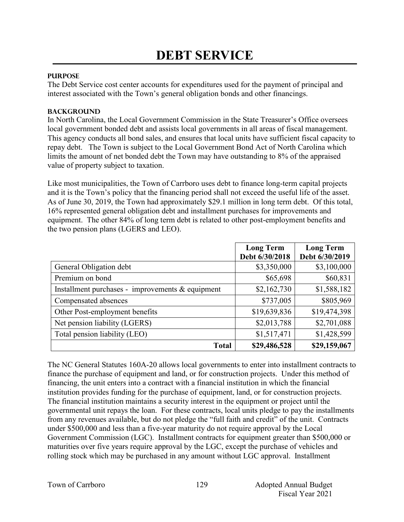## **PURPOSE**

The Debt Service cost center accounts for expenditures used for the payment of principal and interest associated with the Town's general obligation bonds and other financings.

## **BACKGROUND**

In North Carolina, the Local Government Commission in the State Treasurer's Office oversees local government bonded debt and assists local governments in all areas of fiscal management. This agency conducts all bond sales, and ensures that local units have sufficient fiscal capacity to repay debt. The Town is subject to the Local Government Bond Act of North Carolina which limits the amount of net bonded debt the Town may have outstanding to 8% of the appraised value of property subject to taxation.

Like most municipalities, the Town of Carrboro uses debt to finance long-term capital projects and it is the Town's policy that the financing period shall not exceed the useful life of the asset. As of June 30, 2019, the Town had approximately \$29.1 million in long term debt. Of this total, 16% represented general obligation debt and installment purchases for improvements and equipment. The other 84% of long term debt is related to other post-employment benefits and the two pension plans (LGERS and LEO).

|                                                     | <b>Long Term</b><br>Debt 6/30/2018 | <b>Long Term</b><br>Debt 6/30/2019 |
|-----------------------------------------------------|------------------------------------|------------------------------------|
| General Obligation debt                             | \$3,350,000                        | \$3,100,000                        |
| Premium on bond                                     | \$65,698                           | \$60,831                           |
| Installment purchases - improvements $\&$ equipment | \$2,162,730                        | \$1,588,182                        |
| Compensated absences                                | \$737,005                          | \$805,969                          |
| Other Post-employment benefits                      | \$19,639,836                       | \$19,474,398                       |
| Net pension liability (LGERS)                       | \$2,013,788                        | \$2,701,088                        |
| Total pension liability (LEO)                       | \$1,517,471                        | \$1,428,599                        |
| <b>Total</b>                                        | \$29,486,528                       | \$29,159,067                       |

The NC General Statutes 160A-20 allows local governments to enter into installment contracts to finance the purchase of equipment and land, or for construction projects. Under this method of financing, the unit enters into a contract with a financial institution in which the financial institution provides funding for the purchase of equipment, land, or for construction projects. The financial institution maintains a security interest in the equipment or project until the governmental unit repays the loan. For these contracts, local units pledge to pay the installments from any revenues available, but do not pledge the "full faith and credit" of the unit. Contracts under \$500,000 and less than a five-year maturity do not require approval by the Local Government Commission (LGC). Installment contracts for equipment greater than \$500,000 or maturities over five years require approval by the LGC, except the purchase of vehicles and rolling stock which may be purchased in any amount without LGC approval. Installment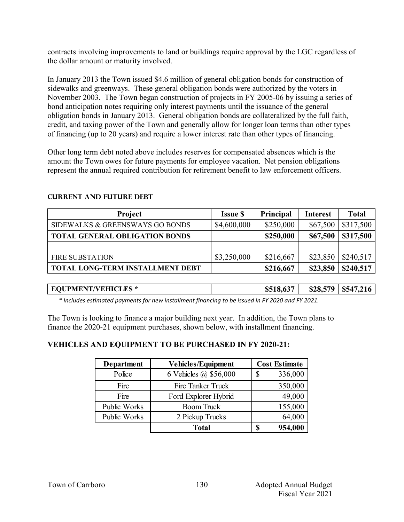contracts involving improvements to land or buildings require approval by the LGC regardless of the dollar amount or maturity involved.

In January 2013 the Town issued \$4.6 million of general obligation bonds for construction of sidewalks and greenways. These general obligation bonds were authorized by the voters in November 2003. The Town began construction of projects in FY 2005-06 by issuing a series of bond anticipation notes requiring only interest payments until the issuance of the general obligation bonds in January 2013. General obligation bonds are collateralized by the full faith, credit, and taxing power of the Town and generally allow for longer loan terms than other types of financing (up to 20 years) and require a lower interest rate than other types of financing.

Other long term debt noted above includes reserves for compensated absences which is the amount the Town owes for future payments for employee vacation. Net pension obligations represent the annual required contribution for retirement benefit to law enforcement officers.

| <b>Project</b>                          | <b>Issue \$</b> | <b>Principal</b> | <b>Interest</b> | <b>Total</b> |
|-----------------------------------------|-----------------|------------------|-----------------|--------------|
| SIDEWALKS & GREENSWAYS GO BONDS         | \$4,600,000     | \$250,000        | \$67,500        | \$317,500    |
| <b>TOTAL GENERAL OBLIGATION BONDS</b>   |                 | \$250,000        | \$67,500        | \$317,500    |
|                                         |                 |                  |                 |              |
| <b>FIRE SUBSTATION</b>                  | \$3,250,000     | \$216,667        | \$23,850        | \$240,517    |
| <b>TOTAL LONG-TERM INSTALLMENT DEBT</b> |                 | \$216,667        | \$23,850        | \$240,517    |

#### **Current AND FUTURE Debt**

**EQUPMENT/VEHICLES \* \$518,637 \$28,579 \$547,216** 

 *\* Includes estimated payments for new installment financing to be issued in FY 2020 and FY 2021.*

The Town is looking to finance a major building next year. In addition, the Town plans to finance the 2020-21 equipment purchases, shown below, with installment financing.

## **VEHICLES AND EQUIPMENT TO BE PURCHASED IN FY 2020-21:**

| Department   | <b>Vehicles/Equipment</b> | <b>Cost Estimate</b> |  |
|--------------|---------------------------|----------------------|--|
| Police       | 6 Vehicles @ \$56,000     | 336,000<br>S         |  |
| Fire         | Fire Tanker Truck         | 350,000              |  |
| Fire         | Ford Explorer Hybrid      | 49,000               |  |
| Public Works | <b>Boom Truck</b>         | 155,000              |  |
| Public Works | 2 Pickup Trucks           | 64,000               |  |
|              | <b>Total</b>              | 954,000              |  |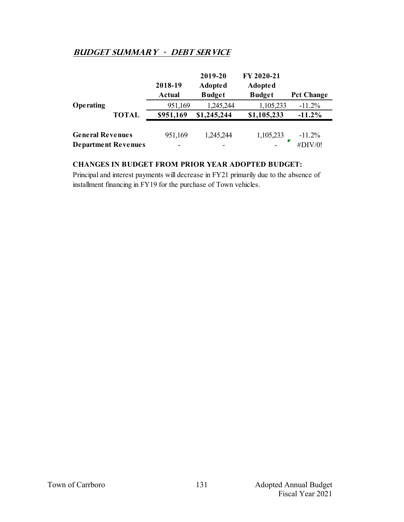# **Budget summary - debt service**

|                            |              | 2018-19<br><b>Actual</b> | 2019-20<br><b>Adopted</b><br><b>Budget</b> | FY 2020-21<br><b>Adopted</b><br><b>Budget</b> | <b>Pct Change</b> |
|----------------------------|--------------|--------------------------|--------------------------------------------|-----------------------------------------------|-------------------|
| Operating                  |              | 951,169                  | 1,245,244                                  | 1,105,233                                     | $-11.2%$          |
|                            | <b>TOTAL</b> | \$951,169                | \$1,245,244                                | \$1,105,233                                   | $-11.2%$          |
|                            |              |                          |                                            |                                               |                   |
| <b>General Revenues</b>    |              | 951,169                  | 1,245,244                                  | 1,105,233                                     | $-11.2%$          |
| <b>Department Revenues</b> |              | $\overline{\phantom{0}}$ |                                            |                                               | #DIV/0!           |

#### **CHANGES IN BUDGET FROM PRIOR YEAR ADOPTED BUDGET:**

Principal and interest payments will decrease in FY21 primarily due to the absence of installment financing in FY19 for the purchase of Town vehicles.